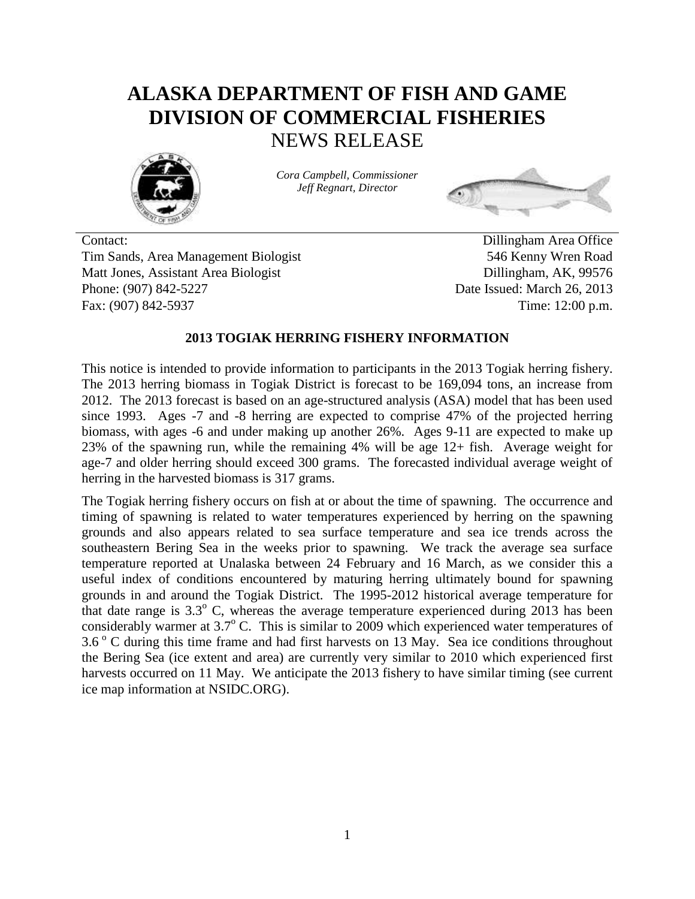# **ALASKA DEPARTMENT OF FISH AND GAME DIVISION OF COMMERCIAL FISHERIES** NEWS RELEASE



*Cora Campbell, Commissioner Jeff Regnart, Director*



Contact: Dillingham Area Office Tim Sands, Area Management Biologist 546 Kenny Wren Road Matt Jones, Assistant Area Biologist Dillingham, AK, 99576 Phone: (907) 842-5227 Date Issued: March 26, 2013 Fax: (907) 842-5937 Time: 12:00 p.m.

## **2013 TOGIAK HERRING FISHERY INFORMATION**

This notice is intended to provide information to participants in the 2013 Togiak herring fishery. The 2013 herring biomass in Togiak District is forecast to be 169,094 tons, an increase from 2012. The 2013 forecast is based on an age-structured analysis (ASA) model that has been used since 1993. Ages -7 and -8 herring are expected to comprise 47% of the projected herring biomass, with ages -6 and under making up another 26%. Ages 9-11 are expected to make up 23% of the spawning run, while the remaining 4% will be age 12+ fish. Average weight for age-7 and older herring should exceed 300 grams. The forecasted individual average weight of herring in the harvested biomass is 317 grams.

The Togiak herring fishery occurs on fish at or about the time of spawning. The occurrence and timing of spawning is related to water temperatures experienced by herring on the spawning grounds and also appears related to sea surface temperature and sea ice trends across the southeastern Bering Sea in the weeks prior to spawning. We track the average sea surface temperature reported at Unalaska between 24 February and 16 March, as we consider this a useful index of conditions encountered by maturing herring ultimately bound for spawning grounds in and around the Togiak District. The 1995-2012 historical average temperature for that date range is  $3.3^{\circ}$  C, whereas the average temperature experienced during 2013 has been considerably warmer at 3.7° C. This is similar to 2009 which experienced water temperatures of  $3.6\degree$  C during this time frame and had first harvests on 13 May. Sea ice conditions throughout the Bering Sea (ice extent and area) are currently very similar to 2010 which experienced first harvests occurred on 11 May. We anticipate the 2013 fishery to have similar timing (see current ice map information at NSIDC.ORG).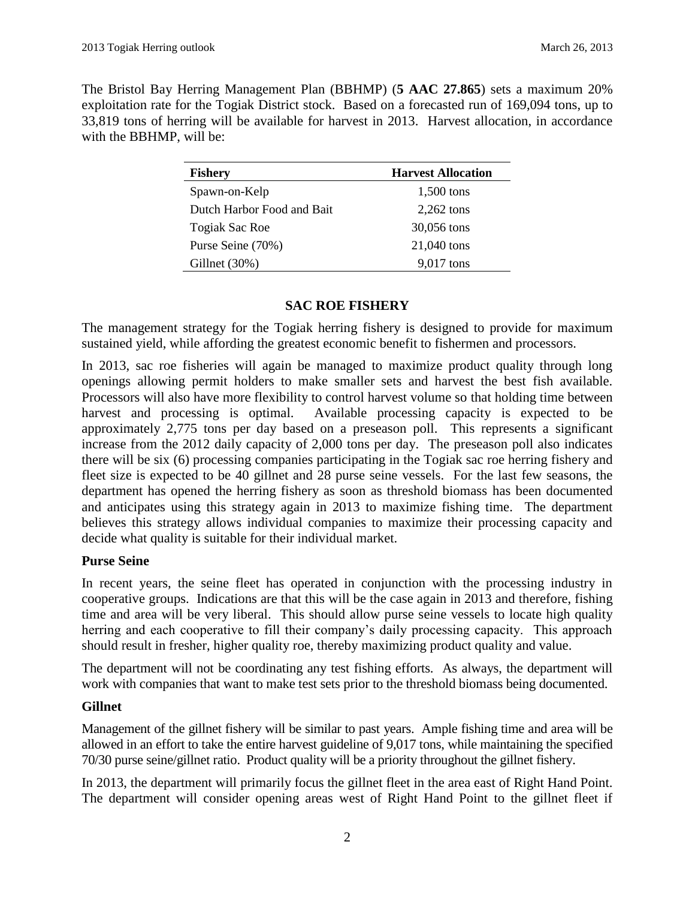The Bristol Bay Herring Management Plan (BBHMP) (**5 AAC 27.865**) sets a maximum 20% exploitation rate for the Togiak District stock. Based on a forecasted run of 169,094 tons, up to 33,819 tons of herring will be available for harvest in 2013. Harvest allocation, in accordance with the BBHMP, will be:

| <b>Fishery</b>             | <b>Harvest Allocation</b> |
|----------------------------|---------------------------|
| Spawn-on-Kelp              | 1,500 tons                |
| Dutch Harbor Food and Bait | $2,262$ tons              |
| <b>Togiak Sac Roe</b>      | 30,056 tons               |
| Purse Seine (70%)          | 21,040 tons               |
| Gillnet $(30\%)$           | 9,017 tons                |

#### **SAC ROE FISHERY**

The management strategy for the Togiak herring fishery is designed to provide for maximum sustained yield, while affording the greatest economic benefit to fishermen and processors.

In 2013, sac roe fisheries will again be managed to maximize product quality through long openings allowing permit holders to make smaller sets and harvest the best fish available. Processors will also have more flexibility to control harvest volume so that holding time between harvest and processing is optimal. Available processing capacity is expected to be approximately 2,775 tons per day based on a preseason poll. This represents a significant increase from the 2012 daily capacity of 2,000 tons per day. The preseason poll also indicates there will be six (6) processing companies participating in the Togiak sac roe herring fishery and fleet size is expected to be 40 gillnet and 28 purse seine vessels. For the last few seasons, the department has opened the herring fishery as soon as threshold biomass has been documented and anticipates using this strategy again in 2013 to maximize fishing time. The department believes this strategy allows individual companies to maximize their processing capacity and decide what quality is suitable for their individual market.

## **Purse Seine**

In recent years, the seine fleet has operated in conjunction with the processing industry in cooperative groups. Indications are that this will be the case again in 2013 and therefore, fishing time and area will be very liberal. This should allow purse seine vessels to locate high quality herring and each cooperative to fill their company's daily processing capacity. This approach should result in fresher, higher quality roe, thereby maximizing product quality and value.

The department will not be coordinating any test fishing efforts. As always, the department will work with companies that want to make test sets prior to the threshold biomass being documented.

## **Gillnet**

Management of the gillnet fishery will be similar to past years. Ample fishing time and area will be allowed in an effort to take the entire harvest guideline of 9,017 tons, while maintaining the specified 70/30 purse seine/gillnet ratio. Product quality will be a priority throughout the gillnet fishery.

In 2013, the department will primarily focus the gillnet fleet in the area east of Right Hand Point. The department will consider opening areas west of Right Hand Point to the gillnet fleet if